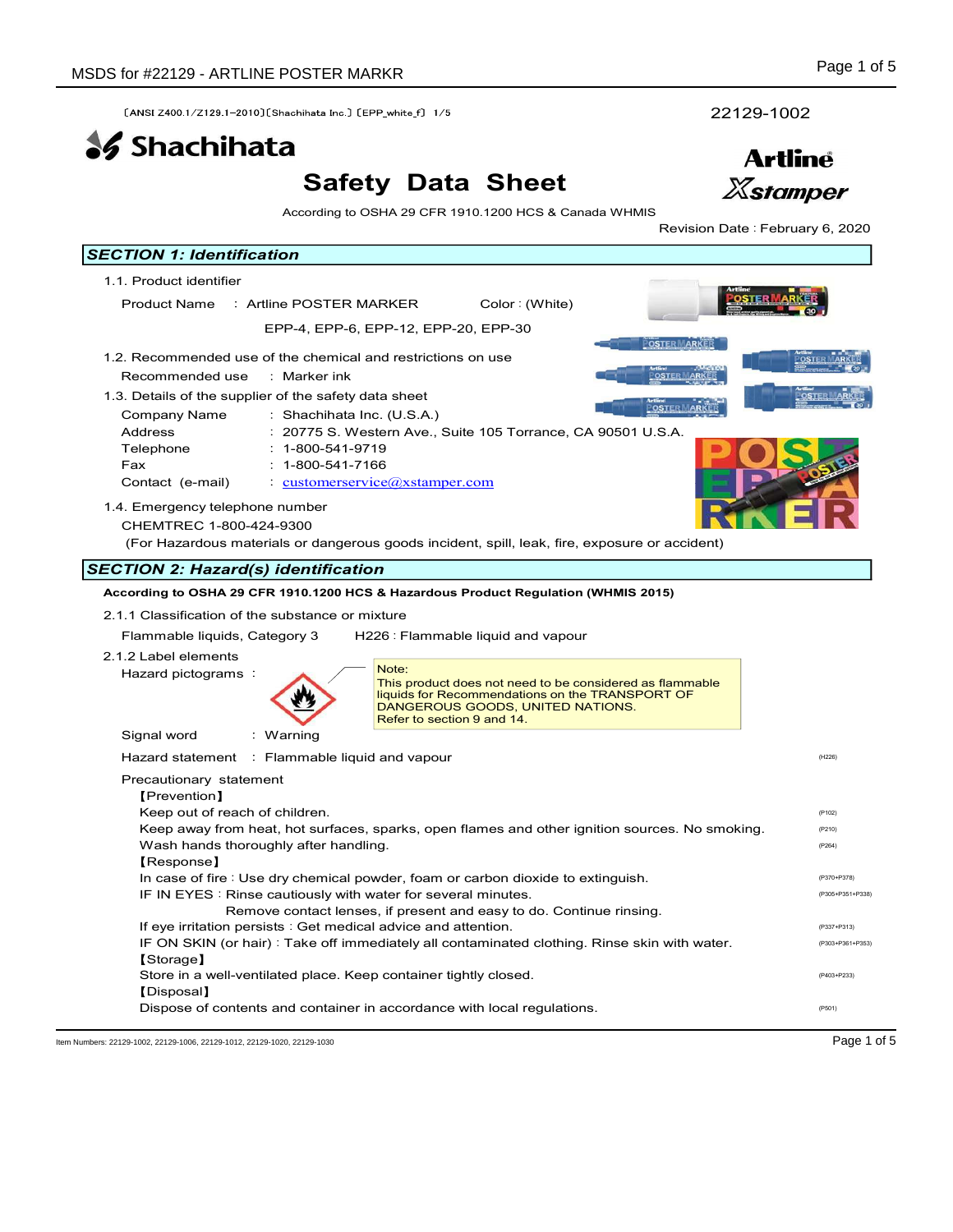# Safety Data Sheet



| SDS for #22129 - ARTLINE POSTER MARKR                                                                                                                                                                                                                                                                                                                                                                                                                                                                                              |                                                                                                                                                                                                                                                                                                                                                                                                                                                                                                                                       | Page 1 of 5                                                   |
|------------------------------------------------------------------------------------------------------------------------------------------------------------------------------------------------------------------------------------------------------------------------------------------------------------------------------------------------------------------------------------------------------------------------------------------------------------------------------------------------------------------------------------|---------------------------------------------------------------------------------------------------------------------------------------------------------------------------------------------------------------------------------------------------------------------------------------------------------------------------------------------------------------------------------------------------------------------------------------------------------------------------------------------------------------------------------------|---------------------------------------------------------------|
| [ANSI Z400 1/Z129 1-2010] [Shachihata Inc.] [EPP white f] 1/5                                                                                                                                                                                                                                                                                                                                                                                                                                                                      |                                                                                                                                                                                                                                                                                                                                                                                                                                                                                                                                       | 22129-1002                                                    |
| <b>SS</b> Shachihata                                                                                                                                                                                                                                                                                                                                                                                                                                                                                                               |                                                                                                                                                                                                                                                                                                                                                                                                                                                                                                                                       | <b>Artline</b>                                                |
|                                                                                                                                                                                                                                                                                                                                                                                                                                                                                                                                    | <b>Safety Data Sheet</b>                                                                                                                                                                                                                                                                                                                                                                                                                                                                                                              | <b>Xstamper</b>                                               |
|                                                                                                                                                                                                                                                                                                                                                                                                                                                                                                                                    | According to OSHA 29 CFR 1910.1200 HCS & Canada WHMIS                                                                                                                                                                                                                                                                                                                                                                                                                                                                                 | Revision Date : February 6, 2020                              |
| <b>SECTION 1: Identification</b>                                                                                                                                                                                                                                                                                                                                                                                                                                                                                                   |                                                                                                                                                                                                                                                                                                                                                                                                                                                                                                                                       |                                                               |
| 1.1. Product identifier                                                                                                                                                                                                                                                                                                                                                                                                                                                                                                            |                                                                                                                                                                                                                                                                                                                                                                                                                                                                                                                                       |                                                               |
| Product Name : Artline POSTER MARKER                                                                                                                                                                                                                                                                                                                                                                                                                                                                                               | Color: (White)<br>EPP-4, EPP-6, EPP-12, EPP-20, EPP-30                                                                                                                                                                                                                                                                                                                                                                                                                                                                                |                                                               |
|                                                                                                                                                                                                                                                                                                                                                                                                                                                                                                                                    |                                                                                                                                                                                                                                                                                                                                                                                                                                                                                                                                       | <b>OSTER MARKER</b>                                           |
| 1.2. Recommended use of the chemical and restrictions on use<br>Recommended use<br>: Marker ink<br>1.3. Details of the supplier of the safety data sheet<br>Company Name<br>Address<br>Telephone<br>$: 1 - 800 - 541 - 9719$<br>$: 1 - 800 - 541 - 7166$<br>Fax<br>Contact (e-mail)<br>1.4. Emergency telephone number<br>CHEMTREC 1-800-424-9300<br><b>SECTION 2: Hazard(s) identification</b><br>2.1.1 Classification of the substance or mixture<br>Flammable liquids, Category 3<br>2.1.2 Label elements<br>Hazard pictograms: | : Shachihata Inc. (U.S.A.)<br>: 20775 S. Western Ave., Suite 105 Torrance, CA 90501 U.S.A.<br>$\cdot$ customerservice $\omega$ xstamper.com<br>(For Hazardous materials or dangerous goods incident, spill, leak, fire, exposure or accident)<br>According to OSHA 29 CFR 1910.1200 HCS & Hazardous Product Regulation (WHMIS 2015)<br>H226 : Flammable liquid and vapour<br>Note:<br>This product does not need to be considered as flammable<br>liquids for Recommendations on the TRANSPORT OF<br>DANGEROUS GOODS, UNITED NATIONS. | <b>OSTER ARKER</b><br><u>POSTER MARK</u>                      |
| Signal word<br>: Warning<br>Hazard statement : Flammable liquid and vapour<br>Precautionary statement                                                                                                                                                                                                                                                                                                                                                                                                                              | Refer to section 9 and 14.                                                                                                                                                                                                                                                                                                                                                                                                                                                                                                            | (H226)                                                        |
| [Prevention]<br>Keep out of reach of children.<br>Wash hands thoroughly after handling.<br>[Response]                                                                                                                                                                                                                                                                                                                                                                                                                              | Keep away from heat, hot surfaces, sparks, open flames and other ignition sources. No smoking.<br>In case of fire : Use dry chemical powder, foam or carbon dioxide to extinguish.<br>IF IN EYES : Rinse cautiously with water for several minutes.<br>Remove contact lenses, if present and easy to do. Continue rinsing.                                                                                                                                                                                                            | (P102)<br>(P210)<br>(P264)<br>(P370+P378)<br>(P305+P351+P338) |
| If eye irritation persists : Get medical advice and attention.<br>[Storage]                                                                                                                                                                                                                                                                                                                                                                                                                                                        | IF ON SKIN (or hair): Take off immediately all contaminated clothing. Rinse skin with water.<br>Store in a well-ventilated place. Keep container tightly closed.                                                                                                                                                                                                                                                                                                                                                                      | (P337+P313)<br>(P303+P361+P353)<br>(P403+P233)                |
| [Disposal]                                                                                                                                                                                                                                                                                                                                                                                                                                                                                                                         |                                                                                                                                                                                                                                                                                                                                                                                                                                                                                                                                       |                                                               |

Item Numbers: 22129-1002, 22129-1006, 22129-1012, 22129-1020, 22129-1030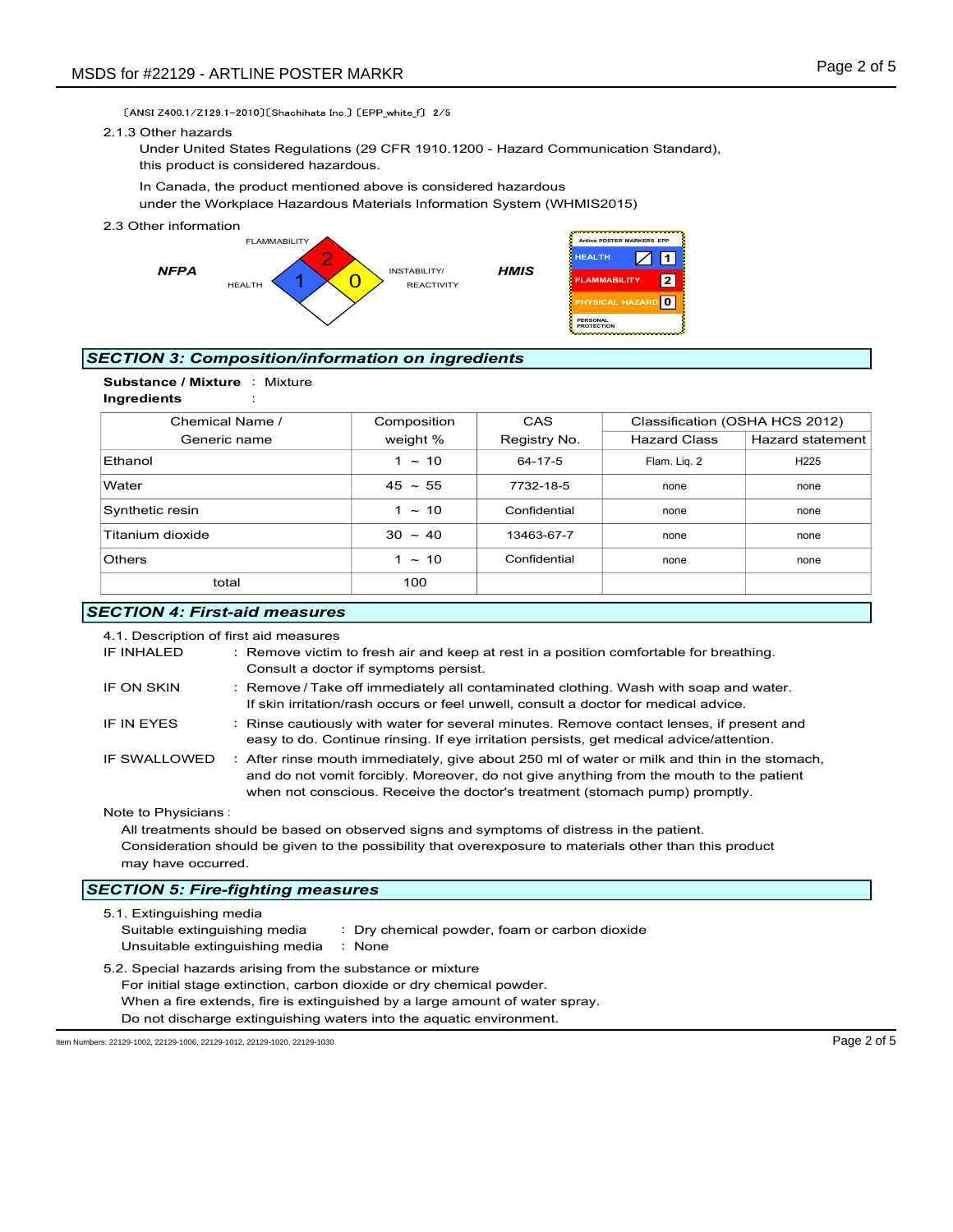#### 2.1.3 Other hazards



# SECTION 3: Composition/information on ingredients



| SDS for #22129 - ARTLINE POSTER MARKR                                                                                                                                                                                |                                                                                                                                                                                                                                                                                                                |                                                        |                                                                                                         | Page 2 of 5                    |
|----------------------------------------------------------------------------------------------------------------------------------------------------------------------------------------------------------------------|----------------------------------------------------------------------------------------------------------------------------------------------------------------------------------------------------------------------------------------------------------------------------------------------------------------|--------------------------------------------------------|---------------------------------------------------------------------------------------------------------|--------------------------------|
| [ANSI Z400 1/Z129 1-2010] [Shachihata Inc ] [EPP_white f] 2/5<br>2.1.3 Other hazards<br>Under United States Regulations (29 CFR 1910.1200 - Hazard Communication Standard),<br>this product is considered hazardous. |                                                                                                                                                                                                                                                                                                                |                                                        |                                                                                                         |                                |
| In Canada, the product mentioned above is considered hazardous<br>under the Workplace Hazardous Materials Information System (WHMIS2015)                                                                             |                                                                                                                                                                                                                                                                                                                |                                                        |                                                                                                         |                                |
| 2.3 Other information<br><b>FLAMMABILITY</b><br><b>NFPA</b><br><b>HEALTH</b>                                                                                                                                         | INSTABILITY/<br><b>REACTIVITY</b>                                                                                                                                                                                                                                                                              | <b>HEALTH</b><br><b>HMIS</b><br>PERSONAL<br>PROTECTION | Artline POSTER MARKERS EPP<br>$\diagup$<br>$\vert$ 1<br> 2 <br><b>FLAMMABILITY</b><br>PHYSICAL HAZARD 0 |                                |
| <b>SECTION 3: Composition/information on ingredients</b>                                                                                                                                                             |                                                                                                                                                                                                                                                                                                                |                                                        |                                                                                                         |                                |
| Substance / Mixture : Mixture<br>Ingredients                                                                                                                                                                         |                                                                                                                                                                                                                                                                                                                |                                                        |                                                                                                         |                                |
| Chemical Name /                                                                                                                                                                                                      | Composition                                                                                                                                                                                                                                                                                                    | CAS                                                    |                                                                                                         | Classification (OSHA HCS 2012) |
| Generic name                                                                                                                                                                                                         | weight %                                                                                                                                                                                                                                                                                                       | Registry No.                                           | <b>Hazard Class</b>                                                                                     | <b>Hazard statement</b>        |
| Ethanol                                                                                                                                                                                                              | $1 \sim 10$                                                                                                                                                                                                                                                                                                    | 64-17-5                                                | Flam. Liq. 2                                                                                            | H225                           |
| Water                                                                                                                                                                                                                | $45 \sim 55$                                                                                                                                                                                                                                                                                                   | 7732-18-5                                              | none                                                                                                    | none                           |
| Synthetic resin                                                                                                                                                                                                      | $1 \sim 10$                                                                                                                                                                                                                                                                                                    | Confidential                                           | none                                                                                                    | none                           |
| Titanium dioxide                                                                                                                                                                                                     | $30 \sim 40$                                                                                                                                                                                                                                                                                                   | 13463-67-7                                             | none                                                                                                    | none                           |
| Others                                                                                                                                                                                                               | $1 \sim 10$                                                                                                                                                                                                                                                                                                    | Confidential                                           | none                                                                                                    | none                           |
| total                                                                                                                                                                                                                | 100                                                                                                                                                                                                                                                                                                            |                                                        |                                                                                                         |                                |
| <b>SECTION 4: First-aid measures</b>                                                                                                                                                                                 |                                                                                                                                                                                                                                                                                                                |                                                        |                                                                                                         |                                |
| 4.1. Description of first aid measures<br>IF INHALED<br>IF ON SKIN                                                                                                                                                   | : Remove victim to fresh air and keep at rest in a position comfortable for breathing.<br>Consult a doctor if symptoms persist.<br>: Remove / Take off immediately all contaminated clothing. Wash with soap and water.<br>If skin irritation/rash occurs or feel unwell, consult a doctor for medical advice. |                                                        |                                                                                                         |                                |
| IF IN EYES                                                                                                                                                                                                           | : Rinse cautiously with water for several minutes. Remove contact lenses, if present and<br>easy to do. Continue rinsing. If eye irritation persists, get medical advice/attention.                                                                                                                            |                                                        |                                                                                                         |                                |
| IF SWALLOWED                                                                                                                                                                                                         | : After rinse mouth immediately, give about 250 ml of water or milk and thin in the stomach,<br>and do not vomit forcibly. Moreover, do not give anything from the mouth to the patient                                                                                                                        |                                                        |                                                                                                         |                                |

## **SECTION 4: First-aid measures**

| 4.1. Description of first aid measures                                                                       |                                                                                                         |  |
|--------------------------------------------------------------------------------------------------------------|---------------------------------------------------------------------------------------------------------|--|
| IF INHALED                                                                                                   | : Remove victim to fresh air and keep at rest in a position comfortable for breathing.                  |  |
|                                                                                                              | Consult a doctor if symptoms persist.                                                                   |  |
| IF ON SKIN                                                                                                   | : Remove / Take off immediately all contaminated clothing. Wash with soap and water.                    |  |
|                                                                                                              | If skin irritation/rash occurs or feel unwell, consult a doctor for medical advice.                     |  |
| IF IN EYES                                                                                                   | : Rinse cautiously with water for several minutes. Remove contact lenses, if present and                |  |
|                                                                                                              | easy to do. Continue rinsing. If eye irritation persists, get medical advice/attention.                 |  |
| IF SWALLOWED<br>: After rinse mouth immediately, give about 250 ml of water or milk and thin in the stomach, |                                                                                                         |  |
|                                                                                                              | and do not vomit forcibly. Moreover, do not give anything from the mouth to the patient                 |  |
|                                                                                                              | when not conscious. Receive the doctor's treatment (stomach pump) promptly.                             |  |
| Note to Physicians:                                                                                          |                                                                                                         |  |
|                                                                                                              | All treatments should be based on observed signs and symptoms of distress in the patient.               |  |
|                                                                                                              | Consideration should be given to the possibility that overexposure to materials other than this product |  |
| may have occurred.                                                                                           |                                                                                                         |  |
|                                                                                                              | <b>SECTION 5: Fire-fighting measures</b>                                                                |  |
|                                                                                                              |                                                                                                         |  |
| Suitable extinguishing media                                                                                 | : Dry chemical powder, foam or carbon dioxide                                                           |  |
| Unsuitable extinguishing media                                                                               | : None                                                                                                  |  |
|                                                                                                              | 5.1. Extinguishing media                                                                                |  |

5.2. Special hazards arising from the substance or mixture For initial stage extinction, carbon dioxide or dry chemical powder. When a fire extends, fire is extinguished by a large amount of water spray. Do not discharge extinguishing waters into the aquatic environment.

Item Numbers: 22129-1002, 22129-1006, 22129-1012, 22129-1020, 22129-1030 Page 2 of 5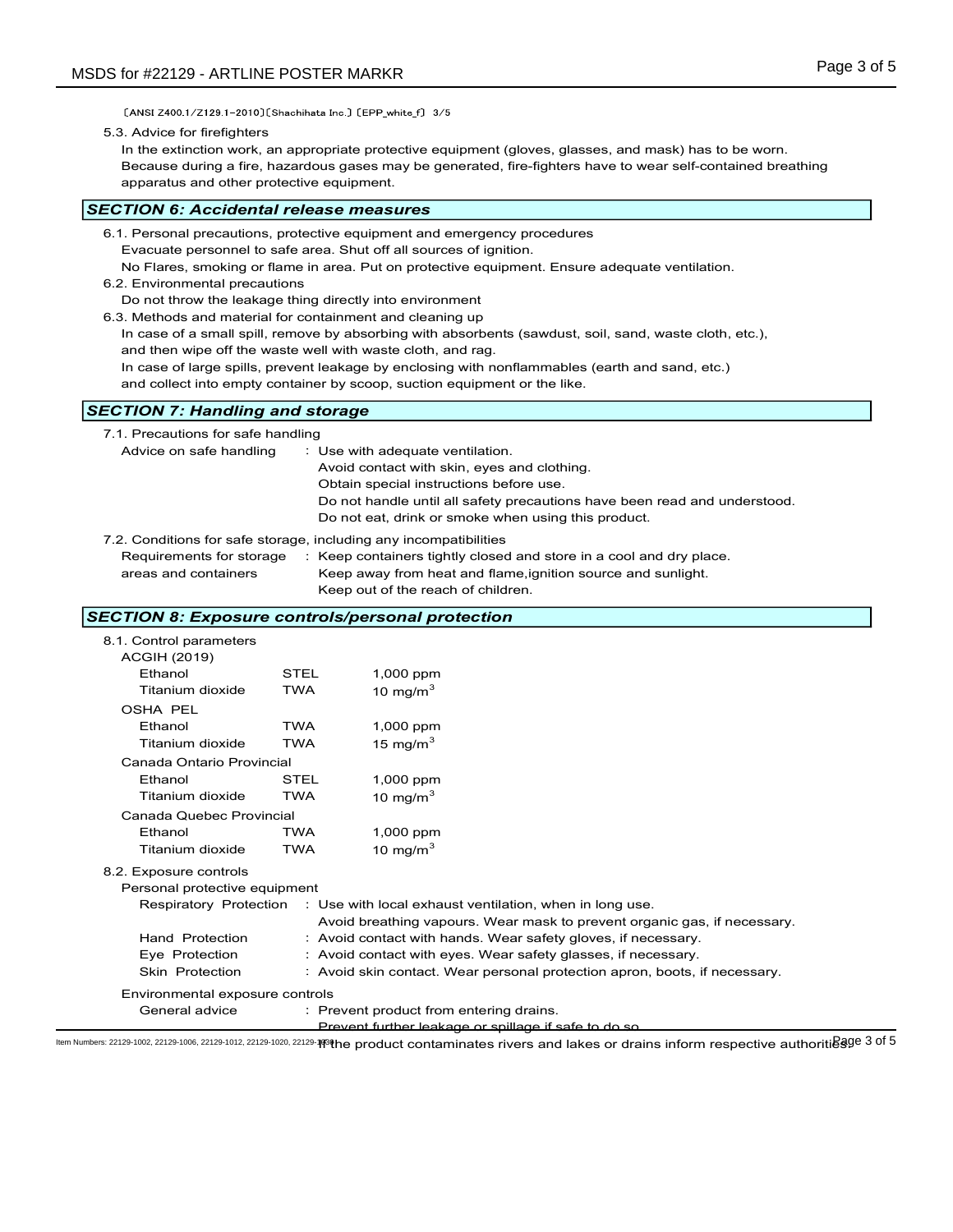[ANSI Z400 1/Z129 1-2010] [Shachihata Inc.] [EPP\_white\_f] 3/5

5.3. Advice for firefighters

In the extinction work, an appropriate protective equipment (gloves, glasses, and mask) has to be worn. Because during a fire, hazardous gases may be generated, fire-fighters have to wear self-contained breathing apparatus and other protective equipment.

## SECTION 6: Accidental release measures

- 6.2. Environmental precautions
- Do not throw the leakage thing directly into environment
- 6.3. Methods and material for containment and cleaning up
	- In case of a small spill, remove by absorbing with absorbents (sawdust, soil, sand, waste cloth, etc.), and then wipe off the waste well with waste cloth, and rag.
	- In case of large spills, prevent leakage by enclosing with nonflammables (earth and sand, etc.)

# SECTION 7: Handling and storage

| apparatus and other protective equipment.                                                                                                                                                                                           |                           |                                                                                                                                                                                                                         | Because during a fire, nazardous gases may be generated, fire-fighters have to wear self-contained breathing                                                                                                                                                                                                 |  |
|-------------------------------------------------------------------------------------------------------------------------------------------------------------------------------------------------------------------------------------|---------------------------|-------------------------------------------------------------------------------------------------------------------------------------------------------------------------------------------------------------------------|--------------------------------------------------------------------------------------------------------------------------------------------------------------------------------------------------------------------------------------------------------------------------------------------------------------|--|
| ECTION 6: Accidental release measures                                                                                                                                                                                               |                           |                                                                                                                                                                                                                         |                                                                                                                                                                                                                                                                                                              |  |
| 6.1. Personal precautions, protective equipment and emergency procedures<br>6.2. Environmental precautions<br>Do not throw the leakage thing directly into environment<br>6.3. Methods and material for containment and cleaning up |                           | Evacuate personnel to safe area. Shut off all sources of ignition.<br>and then wipe off the waste well with waste cloth, and rag.<br>and collect into empty container by scoop, suction equipment or the like.          | No Flares, smoking or flame in area. Put on protective equipment. Ensure adequate ventilation.<br>In case of a small spill, remove by absorbing with absorbents (sawdust, soil, sand, waste cloth, etc.),<br>In case of large spills, prevent leakage by enclosing with nonflammables (earth and sand, etc.) |  |
| <b>ECTION 7: Handling and storage</b>                                                                                                                                                                                               |                           |                                                                                                                                                                                                                         |                                                                                                                                                                                                                                                                                                              |  |
| 7.1. Precautions for safe handling<br>Advice on safe handling<br>7.2. Conditions for safe storage, including any incompatibilities<br>Requirements for storage<br>areas and containers                                              |                           | : Use with adequate ventilation.<br>Avoid contact with skin, eyes and clothing.<br>Obtain special instructions before use.<br>Do not eat, drink or smoke when using this product.<br>Keep out of the reach of children. | Do not handle until all safety precautions have been read and understood.<br>: Keep containers tightly closed and store in a cool and dry place.<br>Keep away from heat and flame, ignition source and sunlight.                                                                                             |  |
| ECTION 8: Exposure controls/personal protection                                                                                                                                                                                     |                           |                                                                                                                                                                                                                         |                                                                                                                                                                                                                                                                                                              |  |
| 8.1. Control parameters<br><b>ACGIH (2019)</b><br>Ethanol<br>Titanium dioxide                                                                                                                                                       | <b>STEL</b><br><b>TWA</b> | 1,000 ppm<br>10 mg/m $3$                                                                                                                                                                                                |                                                                                                                                                                                                                                                                                                              |  |
| <b>OSHA PEL</b><br>Ethanol<br>Titanium dioxide                                                                                                                                                                                      | <b>TWA</b><br><b>TWA</b>  | 1,000 ppm<br>15 mg/m $3$                                                                                                                                                                                                |                                                                                                                                                                                                                                                                                                              |  |
| Canada Ontario Provincial<br>Ethanol                                                                                                                                                                                                | STEL                      | 1,000 ppm                                                                                                                                                                                                               |                                                                                                                                                                                                                                                                                                              |  |

## SECTION 8: Exposure controls/personal protection

| o.s. ivienious and material for containment and clearing up |            | In case of a small spill, remove by absorbing with absorbents (sawdust, soil, sand, waste cloth, etc.),<br>and then wipe off the waste well with waste cloth, and rag. |  |
|-------------------------------------------------------------|------------|------------------------------------------------------------------------------------------------------------------------------------------------------------------------|--|
|                                                             |            | In case of large spills, prevent leakage by enclosing with nonflammables (earth and sand, etc.)                                                                        |  |
|                                                             |            | and collect into empty container by scoop, suction equipment or the like.                                                                                              |  |
| <b>SECTION 7: Handling and storage</b>                      |            |                                                                                                                                                                        |  |
| 7.1. Precautions for safe handling                          |            |                                                                                                                                                                        |  |
| Advice on safe handling                                     |            | : Use with adequate ventilation.                                                                                                                                       |  |
|                                                             |            | Avoid contact with skin, eyes and clothing.                                                                                                                            |  |
|                                                             |            | Obtain special instructions before use.                                                                                                                                |  |
|                                                             |            | Do not handle until all safety precautions have been read and understood.<br>Do not eat, drink or smoke when using this product.                                       |  |
|                                                             |            |                                                                                                                                                                        |  |
|                                                             |            | 7.2. Conditions for safe storage, including any incompatibilities                                                                                                      |  |
| Requirements for storage<br>areas and containers            |            | : Keep containers tightly closed and store in a cool and dry place.<br>Keep away from heat and flame, ignition source and sunlight.                                    |  |
|                                                             |            | Keep out of the reach of children.                                                                                                                                     |  |
|                                                             |            |                                                                                                                                                                        |  |
| <b>SECTION 8: Exposure controls/personal protection</b>     |            |                                                                                                                                                                        |  |
| 8.1. Control parameters                                     |            |                                                                                                                                                                        |  |
| <b>ACGIH (2019)</b><br>Ethanol                              | STEL       |                                                                                                                                                                        |  |
| Titanium dioxide                                            | <b>TWA</b> | 1,000 ppm<br>10 mg/m $3$                                                                                                                                               |  |
| <b>OSHA PEL</b>                                             |            |                                                                                                                                                                        |  |
| Ethanol                                                     | <b>TWA</b> | 1,000 ppm                                                                                                                                                              |  |
| Titanium dioxide                                            | <b>TWA</b> | 15 mg/m $^3$                                                                                                                                                           |  |
| Canada Ontario Provincial                                   |            |                                                                                                                                                                        |  |
| Ethanol                                                     | STEL       | 1,000 ppm                                                                                                                                                              |  |
| Titanium dioxide                                            | <b>TWA</b> | 10 mg/m $^3$                                                                                                                                                           |  |
| Canada Quebec Provincial                                    |            |                                                                                                                                                                        |  |
| Ethanol                                                     | <b>TWA</b> | 1,000 ppm                                                                                                                                                              |  |
| Titanium dioxide                                            | <b>TWA</b> | 10 mg/m $^3$                                                                                                                                                           |  |
| 8.2. Exposure controls                                      |            |                                                                                                                                                                        |  |
| Personal protective equipment                               |            |                                                                                                                                                                        |  |
| Respiratory Protection                                      |            | : Use with local exhaust ventilation, when in long use.                                                                                                                |  |
|                                                             |            | Avoid breathing vapours. Wear mask to prevent organic gas, if necessary.                                                                                               |  |
| Hand Protection                                             |            | : Avoid contact with hands. Wear safety gloves, if necessary.                                                                                                          |  |
| Eye Protection                                              |            | : Avoid contact with eyes. Wear safety glasses, if necessary.                                                                                                          |  |
| Skin Protection                                             |            | : Avoid skin contact. Wear personal protection apron, boots, if necessary.                                                                                             |  |
| Environmental exposure controls                             |            |                                                                                                                                                                        |  |
| General advice                                              |            | : Prevent product from entering drains.                                                                                                                                |  |
|                                                             |            | Prevent further leakage or spillage if safe to do so                                                                                                                   |  |

ltem Numbers: 22129-1002, 22129-1006, 22129-1012, 22129-1020, 22129-1120, 22129-1**1**9the product contaminates rivers and lakes or drains inform respective authoritidage 3 of 5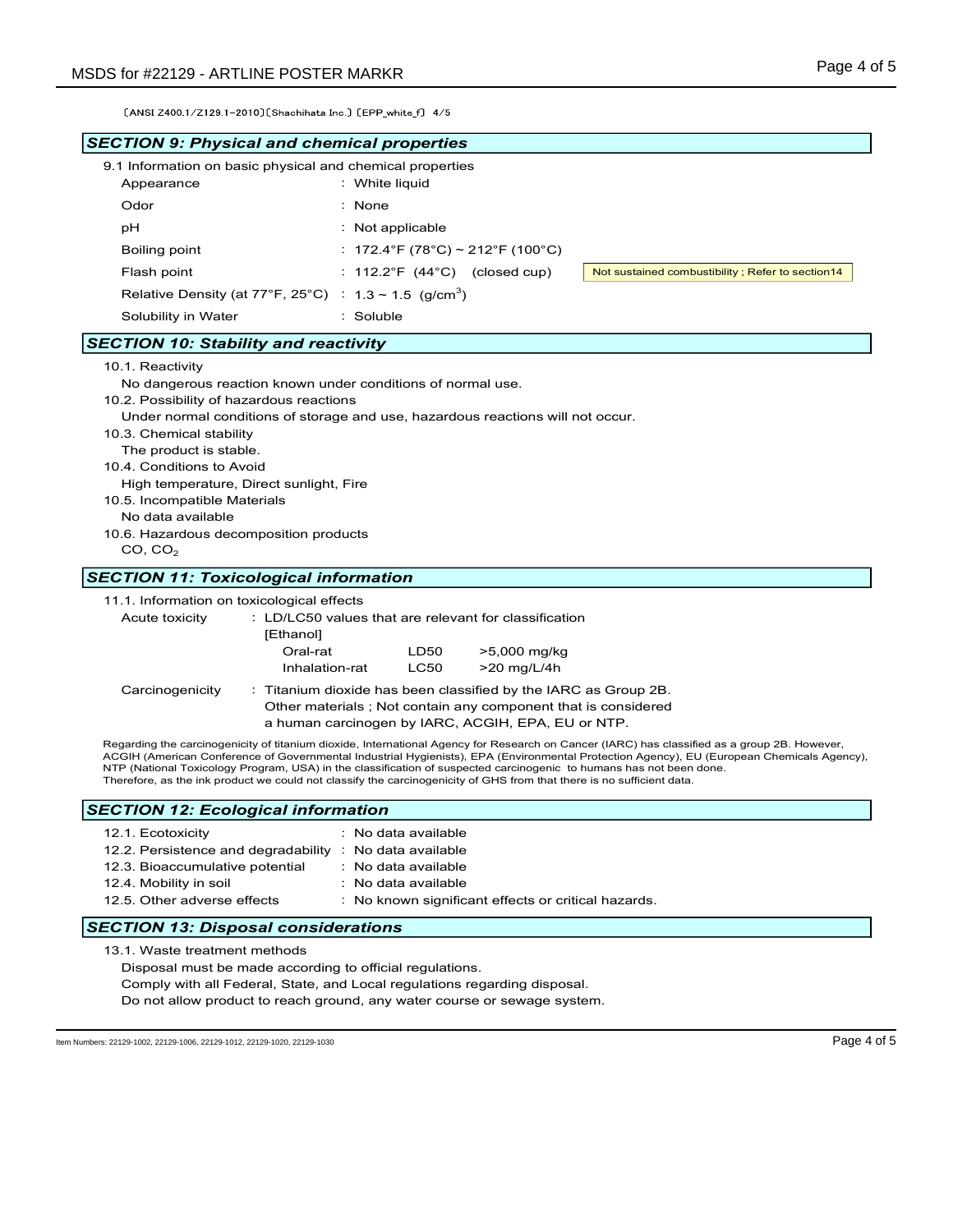| MSDS for #22129 - ARTLINE POSTER MARKR                                                                                                                                 |                                                                                                                                                                                                                                                                                                                                                                                                                                                                                                                                           | Page 4 of 5                                      |
|------------------------------------------------------------------------------------------------------------------------------------------------------------------------|-------------------------------------------------------------------------------------------------------------------------------------------------------------------------------------------------------------------------------------------------------------------------------------------------------------------------------------------------------------------------------------------------------------------------------------------------------------------------------------------------------------------------------------------|--------------------------------------------------|
| [ANSI Z400 1/Z129 1-2010] [Shachihata Inc.] [EPP_white_f] 4/5                                                                                                          |                                                                                                                                                                                                                                                                                                                                                                                                                                                                                                                                           |                                                  |
| <b>SECTION 9: Physical and chemical properties</b>                                                                                                                     |                                                                                                                                                                                                                                                                                                                                                                                                                                                                                                                                           |                                                  |
| 9.1 Information on basic physical and chemical properties<br>Appearance                                                                                                | : White liquid                                                                                                                                                                                                                                                                                                                                                                                                                                                                                                                            |                                                  |
| Odor                                                                                                                                                                   | $:$ None                                                                                                                                                                                                                                                                                                                                                                                                                                                                                                                                  |                                                  |
| рH                                                                                                                                                                     | : Not applicable                                                                                                                                                                                                                                                                                                                                                                                                                                                                                                                          |                                                  |
| <b>Boiling point</b>                                                                                                                                                   | : 172.4°F (78°C) ~ 212°F (100°C)                                                                                                                                                                                                                                                                                                                                                                                                                                                                                                          |                                                  |
| Flash point                                                                                                                                                            | : $112.2^{\circ}F$ (44 $^{\circ}C$ ) (closed cup)                                                                                                                                                                                                                                                                                                                                                                                                                                                                                         | Not sustained combustibility; Refer to section14 |
| Relative Density (at 77°F, 25°C) : $1.3 \sim 1.5$ (g/cm <sup>3</sup> )                                                                                                 |                                                                                                                                                                                                                                                                                                                                                                                                                                                                                                                                           |                                                  |
| Solubility in Water                                                                                                                                                    | : Soluble                                                                                                                                                                                                                                                                                                                                                                                                                                                                                                                                 |                                                  |
| <b>SECTION 10: Stability and reactivity</b>                                                                                                                            |                                                                                                                                                                                                                                                                                                                                                                                                                                                                                                                                           |                                                  |
| 10.2. Possibility of hazardous reactions<br>10.3. Chemical stability<br>The product is stable.<br>10.4. Conditions to Avoid<br>High temperature, Direct sunlight, Fire | Under normal conditions of storage and use, hazardous reactions will not occur.                                                                                                                                                                                                                                                                                                                                                                                                                                                           |                                                  |
| 10.5. Incompatible Materials<br>No data available<br>10.6. Hazardous decomposition products<br>CO, CO <sub>2</sub>                                                     |                                                                                                                                                                                                                                                                                                                                                                                                                                                                                                                                           |                                                  |
| <b>SECTION 11: Toxicological information</b>                                                                                                                           |                                                                                                                                                                                                                                                                                                                                                                                                                                                                                                                                           |                                                  |
| 11.1. Information on toxicological effects<br>Acute toxicity<br>[Ethanol]                                                                                              | : LD/LC50 values that are relevant for classification<br>Oral-rat<br>>5,000 mg/kg<br>LD50<br><b>LC50</b><br>>20 mg/L/4h<br>Inhalation-rat                                                                                                                                                                                                                                                                                                                                                                                                 |                                                  |
| Carcinogenicity                                                                                                                                                        | : Titanium dioxide has been classified by the IARC as Group 2B.<br>Other materials ; Not contain any component that is considered<br>a human carcinogen by IARC, ACGIH, EPA, EU or NTP.                                                                                                                                                                                                                                                                                                                                                   |                                                  |
|                                                                                                                                                                        | Regarding the carcinogenicity of titanium dioxide, International Agency for Research on Cancer (IARC) has classified as a group 2B. However,<br>ACGIH (American Conference of Governmental Industrial Hygienists), EPA (Environmental Protection Agency), EU (European Chemicals Agency),<br>NTP (National Toxicology Program, USA) in the classification of suspected carcinogenic to humans has not been done.<br>Therefore, as the ink product we could not classify the carcinogenicity of GHS from that there is no sufficient data. |                                                  |
| <b>SECTION 12: Ecological information</b>                                                                                                                              |                                                                                                                                                                                                                                                                                                                                                                                                                                                                                                                                           |                                                  |
| 12.1. Ecotoxicity                                                                                                                                                      | : No data available                                                                                                                                                                                                                                                                                                                                                                                                                                                                                                                       |                                                  |
| 12.2. Persistence and degradability : No data available                                                                                                                |                                                                                                                                                                                                                                                                                                                                                                                                                                                                                                                                           |                                                  |
| 12.3. Bioaccumulative potential<br>12.4. Mobility in soil                                                                                                              | : No data available<br>: No data available                                                                                                                                                                                                                                                                                                                                                                                                                                                                                                |                                                  |

Do not allow product to reach ground, any water course or sewage system.

Item Numbers: 22129-1002, 22129-1006, 22129-1012, 22129-1020, 22129-1030